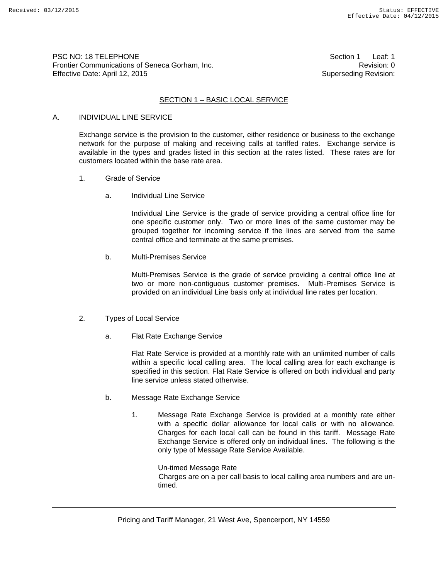PSC NO: 18 TELEPHONE **Section 1** Leaf: 1 Frontier Communications of Seneca Gorham, Inc. **Revision: 0** Revision: 0 Effective Date: April 12, 2015 Superseding Revision:

#### SECTION 1 – BASIC LOCAL SERVICE

#### A. INDIVIDUAL LINE SERVICE

Exchange service is the provision to the customer, either residence or business to the exchange network for the purpose of making and receiving calls at tariffed rates. Exchange service is available in the types and grades listed in this section at the rates listed. These rates are for customers located within the base rate area.

- 1. Grade of Service
	- a. Individual Line Service

Individual Line Service is the grade of service providing a central office line for one specific customer only. Two or more lines of the same customer may be grouped together for incoming service if the lines are served from the same central office and terminate at the same premises.

b. Multi-Premises Service

Multi-Premises Service is the grade of service providing a central office line at two or more non-contiguous customer premises. Multi-Premises Service is provided on an individual Line basis only at individual line rates per location.

- 2. Types of Local Service
	- a. Flat Rate Exchange Service

Flat Rate Service is provided at a monthly rate with an unlimited number of calls within a specific local calling area. The local calling area for each exchange is specified in this section. Flat Rate Service is offered on both individual and party line service unless stated otherwise.

- b. Message Rate Exchange Service
	- 1. Message Rate Exchange Service is provided at a monthly rate either with a specific dollar allowance for local calls or with no allowance. Charges for each local call can be found in this tariff. Message Rate Exchange Service is offered only on individual lines. The following is the only type of Message Rate Service Available.

Un-timed Message Rate Charges are on a per call basis to local calling area numbers and are untimed.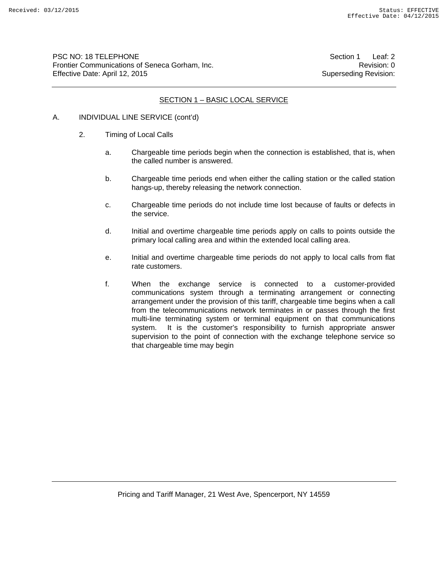PSC NO: 18 TELEPHONE **Section 1** Leaf: 2 Frontier Communications of Seneca Gorham, Inc. **Revision: 0** Revision: 0 Effective Date: April 12, 2015 Superseding Revision:

### SECTION 1 – BASIC LOCAL SERVICE

- A. INDIVIDUAL LINE SERVICE (cont'd)
	- 2. Timing of Local Calls
		- a. Chargeable time periods begin when the connection is established, that is, when the called number is answered.
		- b. Chargeable time periods end when either the calling station or the called station hangs-up, thereby releasing the network connection.
		- c. Chargeable time periods do not include time lost because of faults or defects in the service.
		- d. Initial and overtime chargeable time periods apply on calls to points outside the primary local calling area and within the extended local calling area.
		- e. Initial and overtime chargeable time periods do not apply to local calls from flat rate customers.
		- f. When the exchange service is connected to a customer-provided communications system through a terminating arrangement or connecting arrangement under the provision of this tariff, chargeable time begins when a call from the telecommunications network terminates in or passes through the first multi-line terminating system or terminal equipment on that communications system. It is the customer's responsibility to furnish appropriate answer supervision to the point of connection with the exchange telephone service so that chargeable time may begin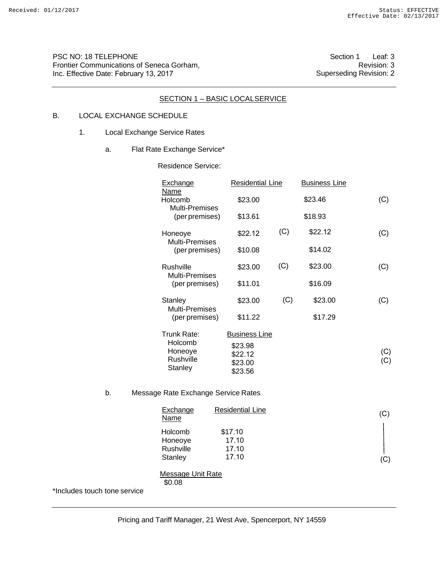PSC NO: 18 TELEPHONE Frontier Communications of Seneca Gorham, Inc. Effective Date: February 13, 2017

Section 1 Leaf: 3 Revision: 3 Superseding Revision: 2

### SECTION 1 - BASIC LOCALSERVICE

### B. LOCAL EXCHANGE SCHEDULE

- 1. Local Exchange Service Rates
	- a. Flat Rate Exchange Service\*

Residence Service:

|                              | Exchange                                 | <b>Residential Line</b> |     | <b>Business Line</b> |     |
|------------------------------|------------------------------------------|-------------------------|-----|----------------------|-----|
|                              | Name<br>Holcomb<br><b>Multi-Premises</b> | \$23.00                 |     | \$23.46              | (C) |
|                              | (per premises)                           | \$13.61                 |     | \$18.93              |     |
|                              | Honeoye<br>Multi-Premises                | \$22.12                 | (C) | \$22.12              | (C) |
|                              | (per premises)                           | \$10.08                 |     | \$14.02              |     |
|                              | Rushville<br>Multi-Premises              | \$23.00                 | (C) | \$23.00              | (C) |
|                              | (per premises)                           | \$11.01                 |     | \$16.09              |     |
|                              | Stanley<br>Multi-Premises                | \$23.00                 | (C) | \$23.00              | (C) |
|                              | (per premises)                           | \$11.22                 |     | \$17.29              |     |
|                              | Trunk Rate:<br>Holcomb                   | <b>Business Line</b>    |     |                      |     |
|                              | Honeoye<br>Rushville                     | \$23.98<br>\$22.12      |     |                      | (C) |
|                              | Stanley                                  | \$23.00<br>\$23.56      |     |                      | (C) |
| b.                           | Message Rate Exchange Service Rates      |                         |     |                      |     |
|                              | Exchange<br><b>Name</b>                  | <b>Residential Line</b> |     |                      | (C) |
|                              | Holcomb                                  | \$17.10<br>17.10        |     |                      |     |
|                              | Honeoye<br>Rushville                     | 17.10                   |     |                      |     |
|                              | Stanley                                  | 17.10                   |     |                      | (C) |
|                              | Message Unit Rate<br>\$0.08              |                         |     |                      |     |
| *Includes touch tone service |                                          |                         |     |                      |     |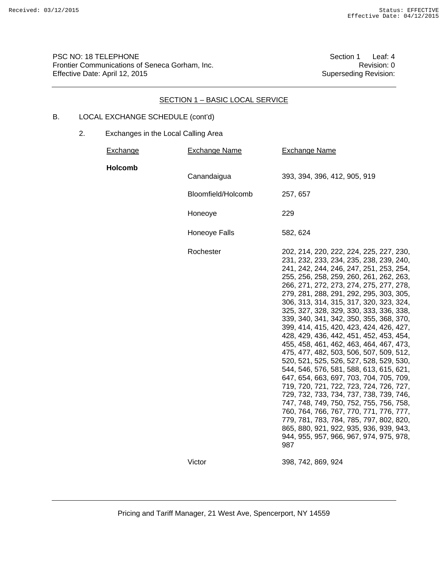PSC NO: 18 TELEPHONE<br>Frontier Communications of Seneca Gorham, Inc.<br>Revision: 0 Frontier Communications of Seneca Gorham, Inc.<br>
Effective Date: April 12, 2015<br>
Superseding Revision: Effective Date: April 12, 2015

### SECTION 1 – BASIC LOCAL SERVICE

## B. LOCAL EXCHANGE SCHEDULE (cont'd)

| Exchange | Exchange Name      | <b>Exchange Name</b>                                                                                                                                                                                                                                                                                                                                                                                                                                                                                                                                                                                                                                                                                                                                                                                                                                                                                                                                                                                                             |
|----------|--------------------|----------------------------------------------------------------------------------------------------------------------------------------------------------------------------------------------------------------------------------------------------------------------------------------------------------------------------------------------------------------------------------------------------------------------------------------------------------------------------------------------------------------------------------------------------------------------------------------------------------------------------------------------------------------------------------------------------------------------------------------------------------------------------------------------------------------------------------------------------------------------------------------------------------------------------------------------------------------------------------------------------------------------------------|
| Holcomb  | Canandaigua        | 393, 394, 396, 412, 905, 919                                                                                                                                                                                                                                                                                                                                                                                                                                                                                                                                                                                                                                                                                                                                                                                                                                                                                                                                                                                                     |
|          | Bloomfield/Holcomb | 257, 657                                                                                                                                                                                                                                                                                                                                                                                                                                                                                                                                                                                                                                                                                                                                                                                                                                                                                                                                                                                                                         |
|          | Honeoye            | 229                                                                                                                                                                                                                                                                                                                                                                                                                                                                                                                                                                                                                                                                                                                                                                                                                                                                                                                                                                                                                              |
|          | Honeoye Falls      | 582, 624                                                                                                                                                                                                                                                                                                                                                                                                                                                                                                                                                                                                                                                                                                                                                                                                                                                                                                                                                                                                                         |
|          | Rochester          | 202, 214, 220, 222, 224, 225, 227, 230,<br>231, 232, 233, 234, 235, 238, 239, 240,<br>241, 242, 244, 246, 247, 251, 253, 254,<br>255, 256, 258, 259, 260, 261, 262, 263,<br>266, 271, 272, 273, 274, 275, 277, 278,<br>279, 281, 288, 291, 292, 295, 303, 305,<br>306, 313, 314, 315, 317, 320, 323, 324,<br>325, 327, 328, 329, 330, 333, 336, 338,<br>339, 340, 341, 342, 350, 355, 368, 370,<br>399, 414, 415, 420, 423, 424, 426, 427,<br>428, 429, 436, 442, 451, 452, 453, 454,<br>455, 458, 461, 462, 463, 464, 467, 473,<br>475, 477, 482, 503, 506, 507, 509, 512,<br>520, 521, 525, 526, 527, 528, 529, 530,<br>544, 546, 576, 581, 588, 613, 615, 621,<br>647, 654, 663, 697, 703, 704, 705, 709,<br>719, 720, 721, 722, 723, 724, 726, 727,<br>729, 732, 733, 734, 737, 738, 739, 746,<br>747, 748, 749, 750, 752, 755, 756, 758,<br>760, 764, 766, 767, 770, 771, 776, 777,<br>779, 781, 783, 784, 785, 797, 802, 820,<br>865, 880, 921, 922, 935, 936, 939, 943,<br>944, 955, 957, 966, 967, 974, 975, 978,<br>987 |
|          | Victor             | 398, 742, 869, 924                                                                                                                                                                                                                                                                                                                                                                                                                                                                                                                                                                                                                                                                                                                                                                                                                                                                                                                                                                                                               |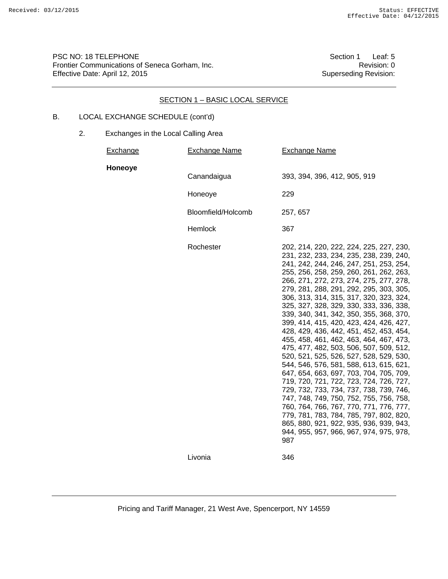PSC NO: 18 TELEPHONE<br>Frontier Communications of Seneca Gorham, Inc.<br>Revision: 0 Frontier Communications of Seneca Gorham, Inc. The Communication: 0 Effective Date: April 12, 2015 Superseding Revision:

### SECTION 1 – BASIC LOCAL SERVICE

## B. LOCAL EXCHANGE SCHEDULE (cont'd)

| Exchange | <b>Exchange Name</b> | <b>Exchange Name</b>                                                                                                                                                                                                                                                                                                                                                                                                                                                                                                                                                                                                                                                                                                                                                                                                                                                                                                                                                                                                             |
|----------|----------------------|----------------------------------------------------------------------------------------------------------------------------------------------------------------------------------------------------------------------------------------------------------------------------------------------------------------------------------------------------------------------------------------------------------------------------------------------------------------------------------------------------------------------------------------------------------------------------------------------------------------------------------------------------------------------------------------------------------------------------------------------------------------------------------------------------------------------------------------------------------------------------------------------------------------------------------------------------------------------------------------------------------------------------------|
| Honeoye  | Canandaigua          | 393, 394, 396, 412, 905, 919                                                                                                                                                                                                                                                                                                                                                                                                                                                                                                                                                                                                                                                                                                                                                                                                                                                                                                                                                                                                     |
|          | Honeoye              | 229                                                                                                                                                                                                                                                                                                                                                                                                                                                                                                                                                                                                                                                                                                                                                                                                                                                                                                                                                                                                                              |
|          | Bloomfield/Holcomb   | 257, 657                                                                                                                                                                                                                                                                                                                                                                                                                                                                                                                                                                                                                                                                                                                                                                                                                                                                                                                                                                                                                         |
|          | Hemlock              | 367                                                                                                                                                                                                                                                                                                                                                                                                                                                                                                                                                                                                                                                                                                                                                                                                                                                                                                                                                                                                                              |
|          | Rochester            | 202, 214, 220, 222, 224, 225, 227, 230,<br>231, 232, 233, 234, 235, 238, 239, 240,<br>241, 242, 244, 246, 247, 251, 253, 254,<br>255, 256, 258, 259, 260, 261, 262, 263,<br>266, 271, 272, 273, 274, 275, 277, 278,<br>279, 281, 288, 291, 292, 295, 303, 305,<br>306, 313, 314, 315, 317, 320, 323, 324,<br>325, 327, 328, 329, 330, 333, 336, 338,<br>339, 340, 341, 342, 350, 355, 368, 370,<br>399, 414, 415, 420, 423, 424, 426, 427,<br>428, 429, 436, 442, 451, 452, 453, 454,<br>455, 458, 461, 462, 463, 464, 467, 473,<br>475, 477, 482, 503, 506, 507, 509, 512,<br>520, 521, 525, 526, 527, 528, 529, 530,<br>544, 546, 576, 581, 588, 613, 615, 621,<br>647, 654, 663, 697, 703, 704, 705, 709,<br>719, 720, 721, 722, 723, 724, 726, 727,<br>729, 732, 733, 734, 737, 738, 739, 746,<br>747, 748, 749, 750, 752, 755, 756, 758,<br>760, 764, 766, 767, 770, 771, 776, 777,<br>779, 781, 783, 784, 785, 797, 802, 820,<br>865, 880, 921, 922, 935, 936, 939, 943,<br>944, 955, 957, 966, 967, 974, 975, 978,<br>987 |
|          | Livonia              | 346                                                                                                                                                                                                                                                                                                                                                                                                                                                                                                                                                                                                                                                                                                                                                                                                                                                                                                                                                                                                                              |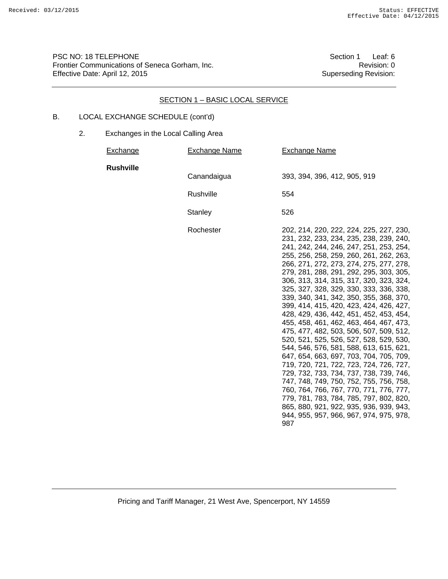PSC NO: 18 TELEPHONE<br>Frontier Communications of Seneca Gorham, Inc.<br>Revision: 0 Frontier Communications of Seneca Gorham, Inc.<br>
Effective Date: April 12, 2015<br>
Superseding Revision: Effective Date: April 12, 2015

### SECTION 1 – BASIC LOCAL SERVICE

## B. LOCAL EXCHANGE SCHEDULE (cont'd)

| <b>Exchange</b>  | <b>Exchange Name</b> | <b>Exchange Name</b>                                                                                                                                                                                                                                                                                                                                                                                                                                                                                                                                                                                                                                                                                                                                                                                                                                                                                                                                                                                                             |
|------------------|----------------------|----------------------------------------------------------------------------------------------------------------------------------------------------------------------------------------------------------------------------------------------------------------------------------------------------------------------------------------------------------------------------------------------------------------------------------------------------------------------------------------------------------------------------------------------------------------------------------------------------------------------------------------------------------------------------------------------------------------------------------------------------------------------------------------------------------------------------------------------------------------------------------------------------------------------------------------------------------------------------------------------------------------------------------|
| <b>Rushville</b> | Canandaigua          | 393, 394, 396, 412, 905, 919                                                                                                                                                                                                                                                                                                                                                                                                                                                                                                                                                                                                                                                                                                                                                                                                                                                                                                                                                                                                     |
|                  | Rushville            | 554                                                                                                                                                                                                                                                                                                                                                                                                                                                                                                                                                                                                                                                                                                                                                                                                                                                                                                                                                                                                                              |
|                  | Stanley              | 526                                                                                                                                                                                                                                                                                                                                                                                                                                                                                                                                                                                                                                                                                                                                                                                                                                                                                                                                                                                                                              |
|                  | Rochester            | 202, 214, 220, 222, 224, 225, 227, 230,<br>231, 232, 233, 234, 235, 238, 239, 240,<br>241, 242, 244, 246, 247, 251, 253, 254,<br>255, 256, 258, 259, 260, 261, 262, 263,<br>266, 271, 272, 273, 274, 275, 277, 278,<br>279, 281, 288, 291, 292, 295, 303, 305,<br>306, 313, 314, 315, 317, 320, 323, 324,<br>325, 327, 328, 329, 330, 333, 336, 338,<br>339, 340, 341, 342, 350, 355, 368, 370,<br>399, 414, 415, 420, 423, 424, 426, 427,<br>428, 429, 436, 442, 451, 452, 453, 454,<br>455, 458, 461, 462, 463, 464, 467, 473,<br>475, 477, 482, 503, 506, 507, 509, 512,<br>520, 521, 525, 526, 527, 528, 529, 530,<br>544, 546, 576, 581, 588, 613, 615, 621,<br>647, 654, 663, 697, 703, 704, 705, 709,<br>719, 720, 721, 722, 723, 724, 726, 727,<br>729, 732, 733, 734, 737, 738, 739, 746,<br>747, 748, 749, 750, 752, 755, 756, 758,<br>760, 764, 766, 767, 770, 771, 776, 777,<br>779, 781, 783, 784, 785, 797, 802, 820,<br>865, 880, 921, 922, 935, 936, 939, 943,<br>944, 955, 957, 966, 967, 974, 975, 978,<br>987 |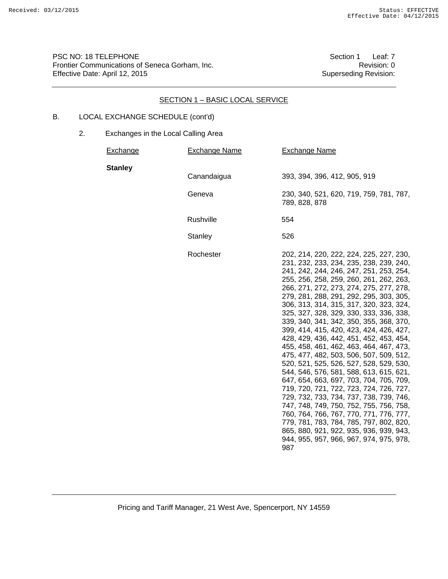PSC NO: 18 TELEPHONE<br>Frontier Communications of Seneca Gorham, Inc.<br>Revision: 0 Frontier Communications of Seneca Gorham, Inc. The Communication: 0 Effective Date: April 12, 2015 Superseding Revision:

### SECTION 1 – BASIC LOCAL SERVICE

## B. LOCAL EXCHANGE SCHEDULE (cont'd)

| <b>Exchange</b> | <b>Exchange Name</b> | <b>Exchange Name</b>                                                                                                                                                                                                                                                                                                                                                                                                                                                                                                                                                                                                                                                                                                                                                                                                                                                                                                                                                                                                             |
|-----------------|----------------------|----------------------------------------------------------------------------------------------------------------------------------------------------------------------------------------------------------------------------------------------------------------------------------------------------------------------------------------------------------------------------------------------------------------------------------------------------------------------------------------------------------------------------------------------------------------------------------------------------------------------------------------------------------------------------------------------------------------------------------------------------------------------------------------------------------------------------------------------------------------------------------------------------------------------------------------------------------------------------------------------------------------------------------|
| <b>Stanley</b>  | Canandaigua          | 393, 394, 396, 412, 905, 919                                                                                                                                                                                                                                                                                                                                                                                                                                                                                                                                                                                                                                                                                                                                                                                                                                                                                                                                                                                                     |
|                 | Geneva               | 230, 340, 521, 620, 719, 759, 781, 787,<br>789, 828, 878                                                                                                                                                                                                                                                                                                                                                                                                                                                                                                                                                                                                                                                                                                                                                                                                                                                                                                                                                                         |
|                 | Rushville            | 554                                                                                                                                                                                                                                                                                                                                                                                                                                                                                                                                                                                                                                                                                                                                                                                                                                                                                                                                                                                                                              |
|                 | <b>Stanley</b>       | 526                                                                                                                                                                                                                                                                                                                                                                                                                                                                                                                                                                                                                                                                                                                                                                                                                                                                                                                                                                                                                              |
|                 | Rochester            | 202, 214, 220, 222, 224, 225, 227, 230,<br>231, 232, 233, 234, 235, 238, 239, 240,<br>241, 242, 244, 246, 247, 251, 253, 254,<br>255, 256, 258, 259, 260, 261, 262, 263,<br>266, 271, 272, 273, 274, 275, 277, 278,<br>279, 281, 288, 291, 292, 295, 303, 305,<br>306, 313, 314, 315, 317, 320, 323, 324,<br>325, 327, 328, 329, 330, 333, 336, 338,<br>339, 340, 341, 342, 350, 355, 368, 370,<br>399, 414, 415, 420, 423, 424, 426, 427,<br>428, 429, 436, 442, 451, 452, 453, 454,<br>455, 458, 461, 462, 463, 464, 467, 473,<br>475, 477, 482, 503, 506, 507, 509, 512,<br>520, 521, 525, 526, 527, 528, 529, 530,<br>544, 546, 576, 581, 588, 613, 615, 621,<br>647, 654, 663, 697, 703, 704, 705, 709,<br>719, 720, 721, 722, 723, 724, 726, 727,<br>729, 732, 733, 734, 737, 738, 739, 746,<br>747, 748, 749, 750, 752, 755, 756, 758,<br>760, 764, 766, 767, 770, 771, 776, 777,<br>779, 781, 783, 784, 785, 797, 802, 820,<br>865, 880, 921, 922, 935, 936, 939, 943,<br>944, 955, 957, 966, 967, 974, 975, 978,<br>987 |